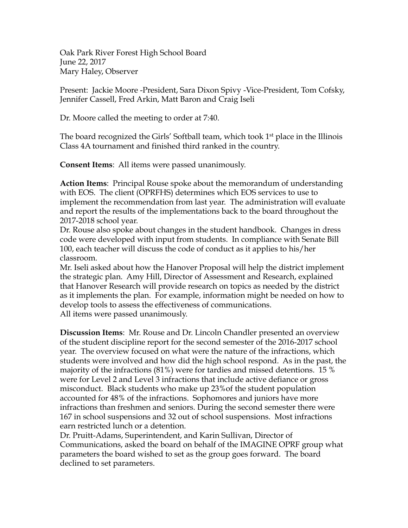Oak Park River Forest High School Board June 22, 2017 Mary Haley, Observer

Present: Jackie Moore -President, Sara Dixon Spivy -Vice-President, Tom Cofsky, Jennifer Cassell, Fred Arkin, Matt Baron and Craig Iseli

Dr. Moore called the meeting to order at 7:40.

The board recognized the Girls' Softball team, which took 1<sup>st</sup> place in the Illinois Class 4A tournament and finished third ranked in the country.

**Consent Items**: All items were passed unanimously.

**Action Items**: Principal Rouse spoke about the memorandum of understanding with EOS. The client (OPRFHS) determines which EOS services to use to implement the recommendation from last year. The administration will evaluate and report the results of the implementations back to the board throughout the 2017-2018 school year.

Dr. Rouse also spoke about changes in the student handbook. Changes in dress code were developed with input from students. In compliance with Senate Bill 100, each teacher will discuss the code of conduct as it applies to his/her classroom.

Mr. Iseli asked about how the Hanover Proposal will help the district implement the strategic plan. Amy Hill, Director of Assessment and Research, explained that Hanover Research will provide research on topics as needed by the district as it implements the plan. For example, information might be needed on how to develop tools to assess the effectiveness of communications. All items were passed unanimously.

**Discussion Items**: Mr. Rouse and Dr. Lincoln Chandler presented an overview of the student discipline report for the second semester of the 2016-2017 school year. The overview focused on what were the nature of the infractions, which students were involved and how did the high school respond. As in the past, the majority of the infractions (81%) were for tardies and missed detentions. 15 % were for Level 2 and Level 3 infractions that include active defiance or gross misconduct. Black students who make up 23%of the student population accounted for 48% of the infractions. Sophomores and juniors have more infractions than freshmen and seniors. During the second semester there were 167 in school suspensions and 32 out of school suspensions. Most infractions earn restricted lunch or a detention.

Dr. Pruitt-Adams, Superintendent, and Karin Sullivan, Director of Communications, asked the board on behalf of the IMAGINE OPRF group what parameters the board wished to set as the group goes forward. The board declined to set parameters.